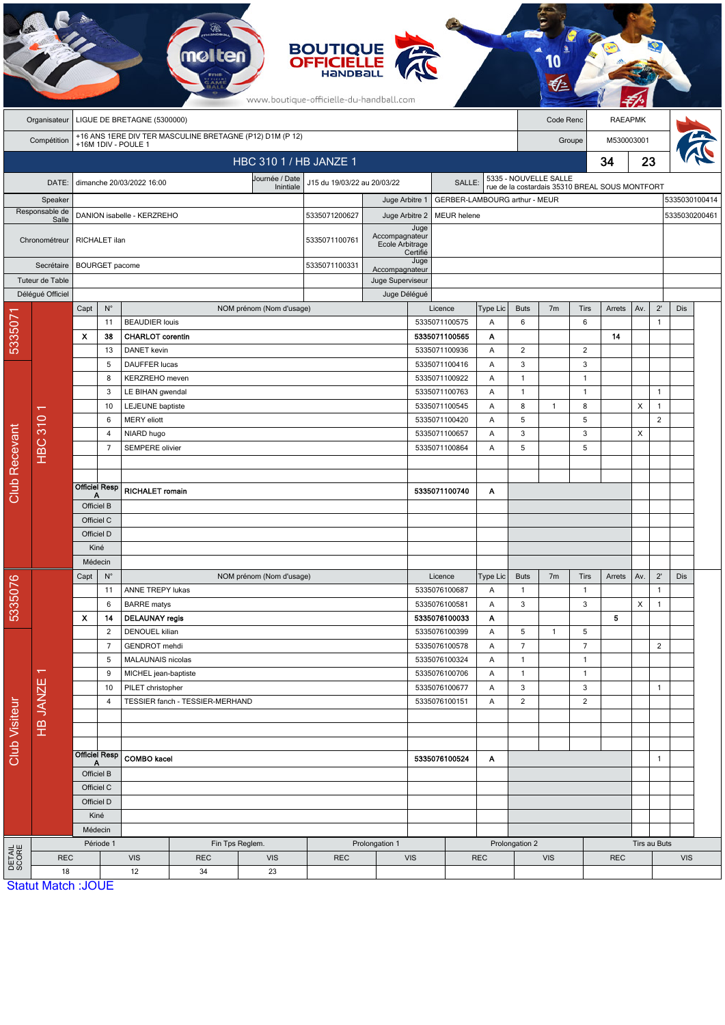|                      | <b>BOUTIQUE<br/>OFFICIELLE</b><br>www.boutique-officielle-du-handball.com |                                                                                 |                |                                                   |                                 |                                   |               |                |                                                        |                    |                              |                                                |                                |                |                |                |                |                                |  |
|----------------------|---------------------------------------------------------------------------|---------------------------------------------------------------------------------|----------------|---------------------------------------------------|---------------------------------|-----------------------------------|---------------|----------------|--------------------------------------------------------|--------------------|------------------------------|------------------------------------------------|--------------------------------|----------------|----------------|----------------|----------------|--------------------------------|--|
|                      | Organisateur                                                              | LIGUE DE BRETAGNE (5300000)                                                     |                |                                                   |                                 |                                   |               |                |                                                        |                    |                              | Code Renc                                      |                                |                | <b>RAEAPMK</b> |                |                |                                |  |
|                      | Compétition                                                               | +16 ANS 1ERE DIV TER MASCULINE BRETAGNE (P12) D1M (P 12)<br>+16M 1DIV - POULE 1 |                |                                                   |                                 |                                   |               |                |                                                        |                    |                              | M530003001<br>Groupe                           |                                |                |                |                |                |                                |  |
|                      | HBC 310 1 / HB JANZE 1                                                    |                                                                                 |                |                                                   |                                 |                                   |               |                |                                                        |                    |                              |                                                |                                |                | 34             | 23             |                |                                |  |
|                      |                                                                           |                                                                                 |                |                                                   |                                 | Journée / Date                    |               |                |                                                        |                    | 5335 - NOUVELLE SALLE        |                                                |                                |                |                |                |                |                                |  |
|                      | DATE:                                                                     |                                                                                 |                | dimanche 20/03/2022 16:00                         |                                 | J15 du 19/03/22 au 20/03/22       |               |                | <b>SALLE</b>                                           |                    |                              | rue de la costardais 35310 BREAL SOUS MONTFORT |                                |                |                |                |                |                                |  |
|                      | Speaker<br>Responsable de                                                 | DANION isabelle - KERZREHO                                                      |                |                                                   |                                 |                                   | 5335071200627 |                | Juge Arbitre 1<br>Juge Arbitre 2<br><b>MEUR</b> helene |                    |                              | GERBER-LAMBOURG arthur - MEUR                  |                                |                |                |                |                | 5335030100414<br>5335030200461 |  |
|                      | Salle                                                                     |                                                                                 |                |                                                   |                                 |                                   |               |                |                                                        |                    |                              |                                                |                                |                |                |                |                |                                |  |
|                      | Chronométreur                                                             |                                                                                 | RICHALET ilan  |                                                   | 5335071100761                   | Accompagnateur<br>Ecole Arbitrage | Certifié      |                |                                                        |                    |                              |                                                |                                |                |                |                |                |                                |  |
|                      | Secrétaire                                                                | <b>BOURGET</b> pacome                                                           |                |                                                   |                                 |                                   | 5335071100331 | Accompagnateur | Juge                                                   |                    |                              |                                                |                                |                |                |                |                |                                |  |
| Tuteur de Table      |                                                                           |                                                                                 |                |                                                   |                                 |                                   |               |                | Juge Superviseur                                       |                    |                              |                                                |                                |                |                |                |                |                                |  |
|                      | Déléqué Officiel                                                          | Capt                                                                            | $N^{\circ}$    |                                                   |                                 |                                   |               | Juge Délégué   |                                                        | Licence            | Type Lic                     | <b>Buts</b>                                    | 7 <sub>m</sub>                 | Tirs           | Arrets         | Av.            | $2^{\prime}$   | Dis                            |  |
| 5335071              |                                                                           |                                                                                 | 11             | NOM prénom (Nom d'usage)<br><b>BEAUDIER louis</b> |                                 |                                   |               |                | 5335071100575                                          |                    | 6                            |                                                | 6                              |                |                | $\overline{1}$ |                |                                |  |
|                      |                                                                           | x                                                                               | 38             | <b>CHARLOT</b> corentin                           |                                 |                                   |               |                |                                                        | 5335071100565      | Α                            |                                                |                                |                | 14             |                |                |                                |  |
|                      |                                                                           |                                                                                 | 13             |                                                   | <b>DANET</b> kevin              |                                   |               |                |                                                        | 5335071100936      | Α                            | $\overline{\mathbf{c}}$                        |                                | 2              |                |                |                |                                |  |
|                      |                                                                           |                                                                                 | 5              | DAUFFER lucas                                     |                                 |                                   |               |                |                                                        | 5335071100416      | Α                            | 3                                              |                                | 3              |                |                |                |                                |  |
|                      |                                                                           | 8<br>3                                                                          |                | KERZREHO meven                                    |                                 |                                   |               |                |                                                        | 5335071100922      | Α                            | $\mathbf{1}$                                   |                                | $\overline{1}$ |                |                |                |                                |  |
|                      |                                                                           |                                                                                 |                | LE BIHAN gwendal                                  |                                 |                                   |               |                |                                                        | 5335071100763      | Α                            | $\mathbf{1}$                                   |                                | $\overline{1}$ |                |                | $\mathbf{1}$   |                                |  |
|                      | ↽<br>310<br><b>SGH</b>                                                    | 10                                                                              |                | <b>LEJEUNE</b> baptiste                           |                                 |                                   |               |                | 5335071100545<br>Α                                     |                    |                              | 8                                              | $\mathbf{1}$                   | 8              |                | X              | $\overline{1}$ |                                |  |
|                      |                                                                           | 6<br>4<br>$\overline{7}$                                                        |                | <b>MERY</b> eliott<br>NIARD hugo                  |                                 |                                   |               |                |                                                        | 5335071100420<br>Α |                              | 5                                              |                                | 5              |                |                | $\overline{2}$ |                                |  |
|                      |                                                                           |                                                                                 |                |                                                   |                                 |                                   |               |                | 5335071100657<br>5335071100864                         |                    | Α                            | 3                                              |                                | 3              |                | X              |                |                                |  |
|                      |                                                                           |                                                                                 |                | SEMPERE olivier                                   |                                 |                                   |               |                |                                                        | A                  | 5                            |                                                | 5                              |                |                |                |                |                                |  |
|                      |                                                                           |                                                                                 |                |                                                   |                                 |                                   |               |                |                                                        |                    |                              |                                                |                                |                |                |                |                |                                |  |
| Club Recevant        |                                                                           | <b>Officiel Resp</b>                                                            |                | <b>RICHALET romain</b>                            |                                 |                                   |               |                | 5335071100740                                          | A                  |                              |                                                |                                |                |                |                |                |                                |  |
|                      |                                                                           | А<br>Officiel B                                                                 |                |                                                   |                                 |                                   |               |                |                                                        |                    |                              |                                                |                                |                |                |                |                |                                |  |
|                      |                                                                           | Officiel C                                                                      |                |                                                   |                                 |                                   |               |                |                                                        |                    |                              |                                                |                                |                |                |                |                |                                |  |
|                      |                                                                           | Officiel D                                                                      |                |                                                   |                                 |                                   |               |                |                                                        |                    |                              |                                                |                                |                |                |                |                |                                |  |
|                      |                                                                           | Kiné                                                                            |                |                                                   |                                 |                                   |               |                |                                                        |                    |                              |                                                |                                |                |                |                |                |                                |  |
|                      |                                                                           | Médecin                                                                         |                |                                                   |                                 |                                   |               |                |                                                        |                    |                              |                                                |                                |                |                |                |                |                                |  |
|                      |                                                                           | Capt                                                                            | $N^{\circ}$    |                                                   |                                 | NOM prénom (Nom d'usage)          |               |                |                                                        | Licence            | Type Lic                     | <b>Buts</b>                                    | 7 <sub>m</sub>                 | Tirs           | Arrets         | Av.            | $2^{\prime}$   | Dis                            |  |
| 5335076              |                                                                           |                                                                                 | 11             | ANNE TREPY lukas                                  |                                 |                                   |               |                |                                                        | 5335076100687      | Α                            | $\mathbf{1}$                                   |                                | $\overline{1}$ |                |                | $\mathbf{1}$   |                                |  |
|                      |                                                                           |                                                                                 | 6              | <b>BARRE</b> matys                                |                                 |                                   |               |                |                                                        | 5335076100581      | Α                            | 3                                              |                                | 3              |                | X              | $\mathbf{1}$   |                                |  |
|                      |                                                                           | X                                                                               | 14             | <b>DELAUNAY regis</b>                             |                                 |                                   |               |                |                                                        | 5335076100033      | A                            |                                                |                                |                | 5              |                |                |                                |  |
|                      |                                                                           |                                                                                 | $\overline{2}$ | DENOUEL kilian                                    |                                 |                                   |               |                |                                                        | 5335076100399      | Α                            | 5                                              | $\mathbf{1}$                   | 5              |                |                |                |                                |  |
|                      | $\mathbf{v}$<br><b>HB JANZE</b>                                           |                                                                                 | 7              | GENDROT mehdi                                     |                                 |                                   |               |                |                                                        | 5335076100578      | Α<br>Α                       | $\overline{7}$                                 |                                | $\overline{7}$ |                |                | $\overline{2}$ |                                |  |
|                      |                                                                           |                                                                                 | 5<br>9         | MALAUNAIS nicolas<br>MICHEL jean-baptiste         |                                 |                                   |               |                | 5335076100324<br>5335076100706                         |                    | $\mathbf{1}$<br>$\mathbf{1}$ |                                                | $\overline{1}$<br>$\mathbf{1}$ |                |                |                |                |                                |  |
|                      |                                                                           | 10                                                                              |                | PILET christopher                                 |                                 |                                   |               |                |                                                        | 5335076100677      | Α<br>A                       | 3                                              |                                | 3              |                |                | $\overline{1}$ |                                |  |
|                      |                                                                           |                                                                                 | 4              |                                                   | TESSIER fanch - TESSIER-MERHAND |                                   |               |                |                                                        | 5335076100151      | Α                            | $\sqrt{2}$                                     |                                | $\overline{c}$ |                |                |                |                                |  |
|                      |                                                                           |                                                                                 |                |                                                   |                                 |                                   |               |                |                                                        |                    |                              |                                                |                                |                |                |                |                |                                |  |
|                      |                                                                           |                                                                                 |                |                                                   |                                 |                                   |               |                |                                                        |                    |                              |                                                |                                |                |                |                |                |                                |  |
| <b>Club Visiteur</b> |                                                                           | <b>Officiel Resp</b><br>А<br>Officiel B                                         |                | <b>COMBO</b> kacel                                |                                 |                                   |               | 5335076100524  |                                                        | A                  |                              |                                                |                                |                |                | $\mathbf{1}$   |                |                                |  |
|                      |                                                                           |                                                                                 |                |                                                   |                                 |                                   |               |                |                                                        |                    |                              |                                                |                                |                |                |                |                |                                |  |
|                      |                                                                           | Officiel C                                                                      |                |                                                   |                                 |                                   |               |                |                                                        |                    |                              |                                                |                                |                |                |                |                |                                |  |
|                      |                                                                           | Officiel D                                                                      |                |                                                   |                                 |                                   |               |                |                                                        |                    |                              |                                                |                                |                |                |                |                |                                |  |
|                      |                                                                           | Kiné                                                                            |                |                                                   |                                 |                                   |               |                |                                                        |                    |                              |                                                |                                |                |                |                |                |                                |  |
|                      |                                                                           | Médecin                                                                         |                |                                                   |                                 |                                   |               |                |                                                        |                    |                              |                                                |                                |                |                |                |                |                                |  |
| DETAIL<br>SCORE      |                                                                           |                                                                                 | Période 1      | Fin Tps Reglem.<br>Prolongation 1                 |                                 |                                   |               |                |                                                        |                    |                              |                                                | Prolongation 2                 |                |                | Tirs au Buts   |                |                                |  |
|                      | <b>REC</b>                                                                |                                                                                 |                | <b>VIS</b>                                        | <b>REC</b>                      | <b>VIS</b>                        | <b>REC</b>    |                | <b>VIS</b>                                             | <b>REC</b>         |                              | <b>VIS</b><br><b>REC</b>                       |                                |                |                |                | <b>VIS</b>     |                                |  |
|                      | 18                                                                        |                                                                                 |                | 12<br>34<br>23                                    |                                 |                                   |               |                |                                                        |                    |                              |                                                |                                |                |                |                |                |                                |  |
|                      | <b>Statut Match: JOUE</b>                                                 |                                                                                 |                |                                                   |                                 |                                   |               |                |                                                        |                    |                              |                                                |                                |                |                |                |                |                                |  |